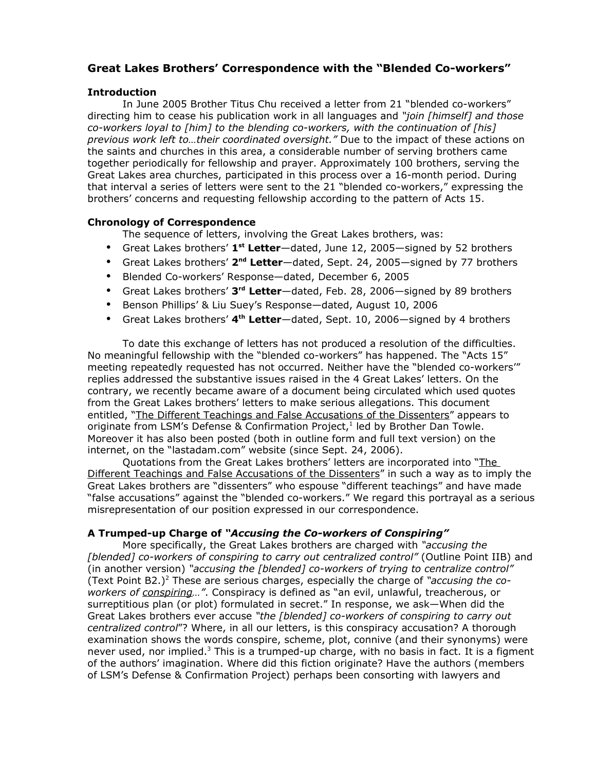# **Great Lakes Brothers' Correspondence with the "Blended Co-workers"**

## **Introduction**

In June 2005 Brother Titus Chu received a letter from 21 "blended co-workers" directing him to cease his publication work in all languages and *"join [himself] and those co-workers loyal to [him] to the blending co-workers, with the continuation of [his] previous work left to…their coordinated oversight."* Due to the impact of these actions on the saints and churches in this area, a considerable number of serving brothers came together periodically for fellowship and prayer. Approximately 100 brothers, serving the Great Lakes area churches, participated in this process over a 16-month period. During that interval a series of letters were sent to the 21 "blended co-workers," expressing the brothers' concerns and requesting fellowship according to the pattern of Acts 15.

## **Chronology of Correspondence**

The sequence of letters, involving the Great Lakes brothers, was:

- Great Lakes brothers' **1 st Letter**—dated, June 12, 2005—signed by 52 brothers
- **•** Great Lakes brothers' 2<sup>nd</sup> Letter—dated, Sept. 24, 2005—signed by 77 brothers
- Blended Co-workers' Response—dated, December 6, 2005
- Great Lakes brothers' **3 rd Letter**—dated, Feb. 28, 2006—signed by 89 brothers
- Benson Phillips' & Liu Suey's Response—dated, August 10, 2006
- Great Lakes brothers' **4 th Letter**—dated, Sept. 10, 2006—signed by 4 brothers

To date this exchange of letters has not produced a resolution of the difficulties. No meaningful fellowship with the "blended co-workers" has happened. The "Acts 15" meeting repeatedly requested has not occurred. Neither have the "blended co-workers'" replies addressed the substantive issues raised in the 4 Great Lakes' letters. On the contrary, we recently became aware of a document being circulated which used quotes from the Great Lakes brothers' letters to make serious allegations. This document entitled, "The Different Teachings and False Accusations of the Dissenters" appears to originate from LSM's Defense & Confirmation Project, 1 led by Brother Dan Towle. Moreover it has also been posted (both in outline form and full text version) on the internet, on the "lastadam.com" website (since Sept. 24, 2006).

Quotations from the Great Lakes brothers' letters are incorporated into "The Different Teachings and False Accusations of the Dissenters" in such a way as to imply the Great Lakes brothers are "dissenters" who espouse "different teachings" and have made "false accusations" against the "blended co-workers." We regard this portrayal as a serious misrepresentation of our position expressed in our correspondence.

## **A Trumped-up Charge of** *"Accusing the Co-workers of Conspiring"*

More specifically, the Great Lakes brothers are charged with *"accusing the [blended] co-workers of conspiring to carry out centralized control"* (Outline Point IIB) and (in another version) *"accusing the [blended] co-workers of trying to centralize control"* (Text Point B2.) <sup>2</sup> These are serious charges, especially the charge of *"accusing the coworkers of conspiring…"*. Conspiracy is defined as "an evil, unlawful, treacherous, or surreptitious plan (or plot) formulated in secret." In response, we ask—When did the Great Lakes brothers ever accuse *"the [blended] co-workers of conspiring to carry out centralized control*"? Where, in all our letters, is this conspiracy accusation? A thorough examination shows the words conspire, scheme, plot, connive (and their synonyms) were never used, nor implied.<sup>3</sup> This is a trumped-up charge, with no basis in fact. It is a figment of the authors' imagination. Where did this fiction originate? Have the authors (members of LSM's Defense & Confirmation Project) perhaps been consorting with lawyers and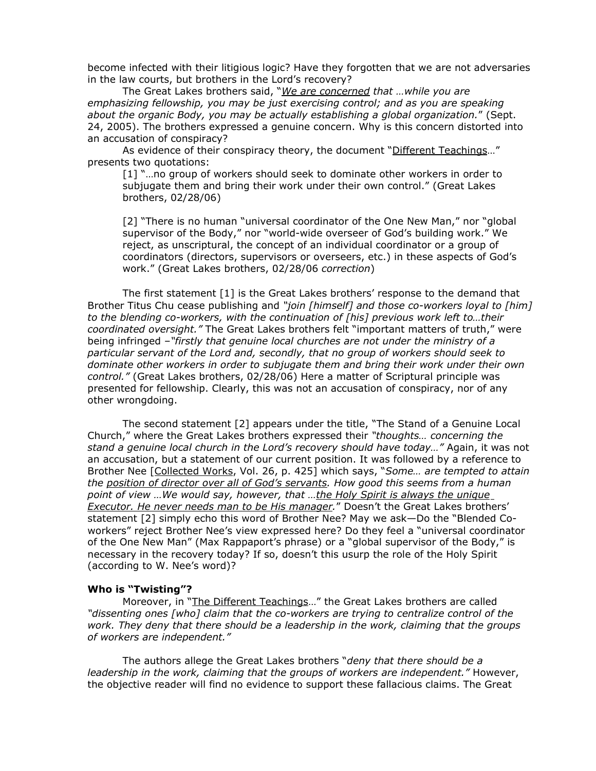become infected with their litigious logic? Have they forgotten that we are not adversaries in the law courts, but brothers in the Lord's recovery?

The Great Lakes brothers said, "*We are concerned that …while you are emphasizing fellowship, you may be just exercising control; and as you are speaking about the organic Body, you may be actually establishing a global organization.*" (Sept. 24, 2005). The brothers expressed a genuine concern. Why is this concern distorted into an accusation of conspiracy?

As evidence of their conspiracy theory, the document "Different Teachings..." presents two quotations:

[1] "…no group of workers should seek to dominate other workers in order to subjugate them and bring their work under their own control." (Great Lakes brothers, 02/28/06)

[2] "There is no human "universal coordinator of the One New Man," nor "global supervisor of the Body," nor "world-wide overseer of God's building work." We reject, as unscriptural, the concept of an individual coordinator or a group of coordinators (directors, supervisors or overseers, etc.) in these aspects of God's work." (Great Lakes brothers, 02/28/06 *correction*)

The first statement [1] is the Great Lakes brothers' response to the demand that Brother Titus Chu cease publishing and *"join [himself] and those co-workers loyal to [him] to the blending co-workers, with the continuation of [his] previous work left to…their coordinated oversight."* The Great Lakes brothers felt "important matters of truth," were being infringed –*"firstly that genuine local churches are not under the ministry of a particular servant of the Lord and, secondly, that no group of workers should seek to dominate other workers in order to subjugate them and bring their work under their own control."* (Great Lakes brothers, 02/28/06) Here a matter of Scriptural principle was presented for fellowship. Clearly, this was not an accusation of conspiracy, nor of any other wrongdoing.

The second statement [2] appears under the title, "The Stand of a Genuine Local Church," where the Great Lakes brothers expressed their *"thoughts… concerning the stand a genuine local church in the Lord's recovery should have today…"* Again, it was not an accusation, but a statement of our current position. It was followed by a reference to Brother Nee [Collected Works, Vol. 26, p. 425] which says, "*Some… are tempted to attain the position of director over all of God's servants. How good this seems from a human point of view …We would say, however, that …the Holy Spirit is always the unique Executor. He never needs man to be His manager.*" Doesn't the Great Lakes brothers' statement [2] simply echo this word of Brother Nee? May we ask—Do the "Blended Coworkers" reject Brother Nee's view expressed here? Do they feel a "universal coordinator of the One New Man" (Max Rappaport's phrase) or a "global supervisor of the Body," is necessary in the recovery today? If so, doesn't this usurp the role of the Holy Spirit (according to W. Nee's word)?

#### **Who is "Twisting"?**

Moreover, in "The Different Teachings..." the Great Lakes brothers are called *"dissenting ones [who] claim that the co-workers are trying to centralize control of the work. They deny that there should be a leadership in the work, claiming that the groups of workers are independent."*

The authors allege the Great Lakes brothers "*deny that there should be a leadership in the work, claiming that the groups of workers are independent."* However, the objective reader will find no evidence to support these fallacious claims. The Great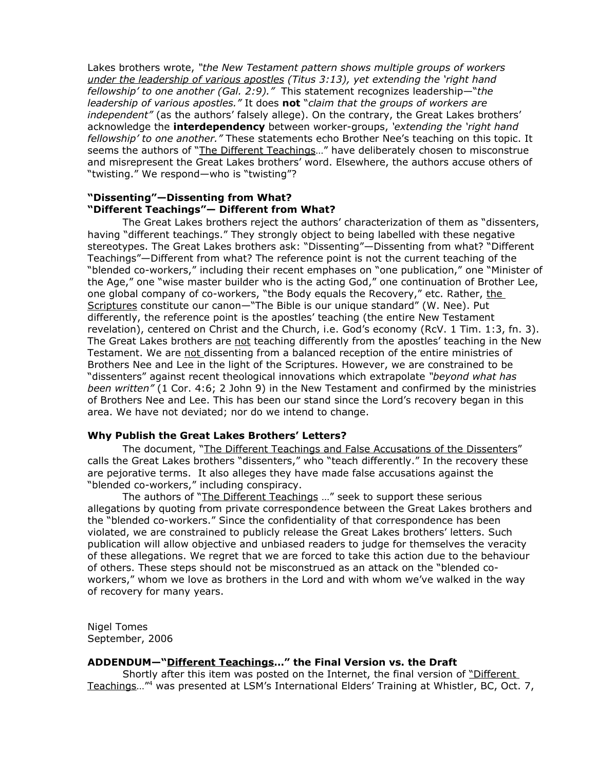Lakes brothers wrote, *"the New Testament pattern shows multiple groups of workers under the leadership of various apostles (Titus 3:13), yet extending the 'right hand fellowship' to one another (Gal. 2:9)."* This statement recognizes leadership—"*the leadership of various apostles."* It does **not** "*claim that the groups of workers are independent"* (as the authors' falsely allege). On the contrary, the Great Lakes brothers' acknowledge the **interdependency** between worker-groups, *'extending the 'right hand fellowship' to one another."* These statements echo Brother Nee's teaching on this topic. It seems the authors of "The Different Teachings..." have deliberately chosen to misconstrue and misrepresent the Great Lakes brothers' word. Elsewhere, the authors accuse others of "twisting." We respond—who is "twisting"?

#### **"Dissenting"—Dissenting from What? "Different Teachings"— Different from What?**

The Great Lakes brothers reject the authors' characterization of them as "dissenters, having "different teachings." They strongly object to being labelled with these negative stereotypes. The Great Lakes brothers ask: "Dissenting"—Dissenting from what? "Different Teachings"—Different from what? The reference point is not the current teaching of the "blended co-workers," including their recent emphases on "one publication," one "Minister of the Age," one "wise master builder who is the acting God," one continuation of Brother Lee, one global company of co-workers, "the Body equals the Recovery," etc. Rather, the Scriptures constitute our canon—"The Bible is our unique standard" (W. Nee). Put differently, the reference point is the apostles' teaching (the entire New Testament revelation), centered on Christ and the Church, i.e. God's economy (RcV. 1 Tim. 1:3, fn. 3). The Great Lakes brothers are not teaching differently from the apostles' teaching in the New Testament. We are not dissenting from a balanced reception of the entire ministries of Brothers Nee and Lee in the light of the Scriptures. However, we are constrained to be "dissenters" against recent theological innovations which extrapolate *"beyond what has been written"* (1 Cor. 4:6; 2 John 9) in the New Testament and confirmed by the ministries of Brothers Nee and Lee. This has been our stand since the Lord's recovery began in this area. We have not deviated; nor do we intend to change.

## **Why Publish the Great Lakes Brothers' Letters?**

The document, "The Different Teachings and False Accusations of the Dissenters" calls the Great Lakes brothers "dissenters," who "teach differently." In the recovery these are pejorative terms. It also alleges they have made false accusations against the "blended co-workers," including conspiracy.

The authors of "The Different Teachings ..." seek to support these serious allegations by quoting from private correspondence between the Great Lakes brothers and the "blended co-workers." Since the confidentiality of that correspondence has been violated, we are constrained to publicly release the Great Lakes brothers' letters. Such publication will allow objective and unbiased readers to judge for themselves the veracity of these allegations. We regret that we are forced to take this action due to the behaviour of others. These steps should not be misconstrued as an attack on the "blended coworkers," whom we love as brothers in the Lord and with whom we've walked in the way of recovery for many years.

Nigel Tomes September, 2006

## **ADDENDUM—"Different Teachings…" the Final Version vs. the Draft**

Shortly after this item was posted on the Internet, the final version of "Different Teachings..."<sup>4</sup> was presented at LSM's International Elders' Training at Whistler, BC, Oct. 7,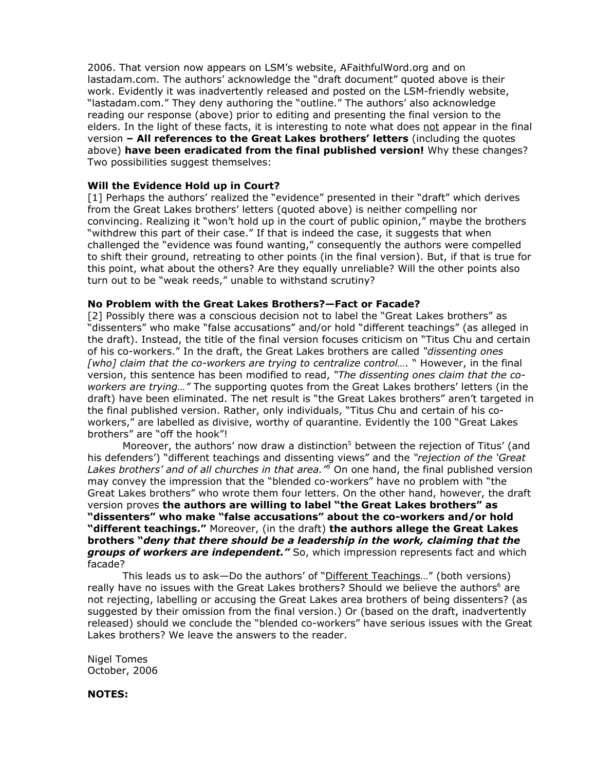2006. That version now appears on LSM's website, AFaithfulWord.org and on lastadam.com. The authors' acknowledge the "draft document" quoted above is their work. Evidently it was inadvertently released and posted on the LSM-friendly website, "lastadam.com." They deny authoring the "outline." The authors' also acknowledge reading our response (above) prior to editing and presenting the final version to the elders. In the light of these facts, it is interesting to note what does not appear in the final version **– All references to the Great Lakes brothers' letters** (including the quotes above) **have been eradicated from the final published version!** Why these changes? Two possibilities suggest themselves:

#### **Will the Evidence Hold up in Court?**

[1] Perhaps the authors' realized the "evidence" presented in their "draft" which derives from the Great Lakes brothers' letters (quoted above) is neither compelling nor convincing. Realizing it "won't hold up in the court of public opinion," maybe the brothers "withdrew this part of their case." If that is indeed the case, it suggests that when challenged the "evidence was found wanting," consequently the authors were compelled to shift their ground, retreating to other points (in the final version). But, if that is true for this point, what about the others? Are they equally unreliable? Will the other points also turn out to be "weak reeds," unable to withstand scrutiny?

#### **No Problem with the Great Lakes Brothers?—Fact or Facade?**

[2] Possibly there was a conscious decision not to label the "Great Lakes brothers" as "dissenters" who make "false accusations" and/or hold "different teachings" (as alleged in the draft). Instead, the title of the final version focuses criticism on "Titus Chu and certain of his co-workers." In the draft, the Great Lakes brothers are called *"dissenting ones [who] claim that the co-workers are trying to centralize control….* " However, in the final version, this sentence has been modified to read, *"The dissenting ones claim that the coworkers are trying…"* The supporting quotes from the Great Lakes brothers' letters (in the draft) have been eliminated. The net result is "the Great Lakes brothers" aren't targeted in the final published version. Rather, only individuals, "Titus Chu and certain of his coworkers," are labelled as divisive, worthy of quarantine. Evidently the 100 "Great Lakes brothers" are "off the hook"!

Moreover, the authors' now draw a distinction<sup>5</sup> between the rejection of Titus' (and his defenders') "different teachings and dissenting views" and the *"rejection of the 'Great Lakes brothers' and of all churches in that area." <sup>5</sup>* On one hand, the final published version may convey the impression that the "blended co-workers" have no problem with "the Great Lakes brothers" who wrote them four letters. On the other hand, however, the draft version proves **the authors are willing to label "the Great Lakes brothers" as "dissenters" who make "false accusations" about the co-workers and/or hold "different teachings."** Moreover, (in the draft) **the authors allege the Great Lakes brothers "***deny that there should be a leadership in the work, claiming that the groups of workers are independent."* So, which impression represents fact and which facade?

This leads us to ask—Do the authors' of "Different Teachings..." (both versions) really have no issues with the Great Lakes brothers? Should we believe the authors<sup>6</sup> are not rejecting, labelling or accusing the Great Lakes area brothers of being dissenters? (as suggested by their omission from the final version.) Or (based on the draft, inadvertently released) should we conclude the "blended co-workers" have serious issues with the Great Lakes brothers? We leave the answers to the reader.

Nigel Tomes October, 2006

#### **NOTES:**